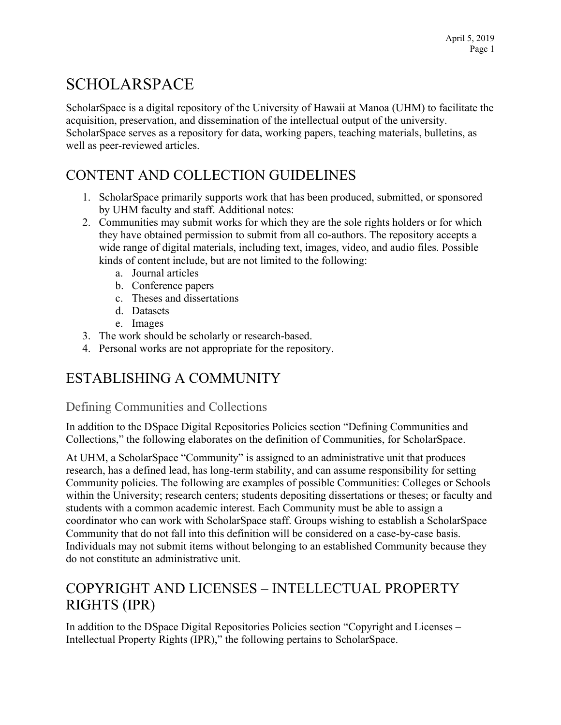# SCHOLARSPACE

ScholarSpace is a digital repository of the University of Hawaii at Manoa (UHM) to facilitate the acquisition, preservation, and dissemination of the intellectual output of the university. ScholarSpace serves as a repository for data, working papers, teaching materials, bulletins, as well as peer-reviewed articles.

## CONTENT AND COLLECTION GUIDELINES

- 1. ScholarSpace primarily supports work that has been produced, submitted, or sponsored by UHM faculty and staff. Additional notes:
- 2. Communities may submit works for which they are the sole rights holders or for which they have obtained permission to submit from all co-authors. The repository accepts a wide range of digital materials, including text, images, video, and audio files. Possible kinds of content include, but are not limited to the following:
	- a. Journal articles
	- b. Conference papers
	- c. Theses and dissertations
	- d. Datasets
	- e. Images
- 3. The work should be scholarly or research-based.
- 4. Personal works are not appropriate for the repository.

## ESTABLISHING A COMMUNITY

#### Defining Communities and Collections

In addition to the DSpace Digital Repositories Policies section "Defining Communities and Collections," the following elaborates on the definition of Communities, for ScholarSpace.

At UHM, a ScholarSpace "Community" is assigned to an administrative unit that produces research, has a defined lead, has long-term stability, and can assume responsibility for setting Community policies. The following are examples of possible Communities: Colleges or Schools within the University; research centers; students depositing dissertations or theses; or faculty and students with a common academic interest. Each Community must be able to assign a coordinator who can work with ScholarSpace staff. Groups wishing to establish a ScholarSpace Community that do not fall into this definition will be considered on a case-by-case basis. Individuals may not submit items without belonging to an established Community because they do not constitute an administrative unit.

## COPYRIGHT AND LICENSES – INTELLECTUAL PROPERTY RIGHTS (IPR)

In addition to the DSpace Digital Repositories Policies section "Copyright and Licenses – Intellectual Property Rights (IPR)," the following pertains to ScholarSpace.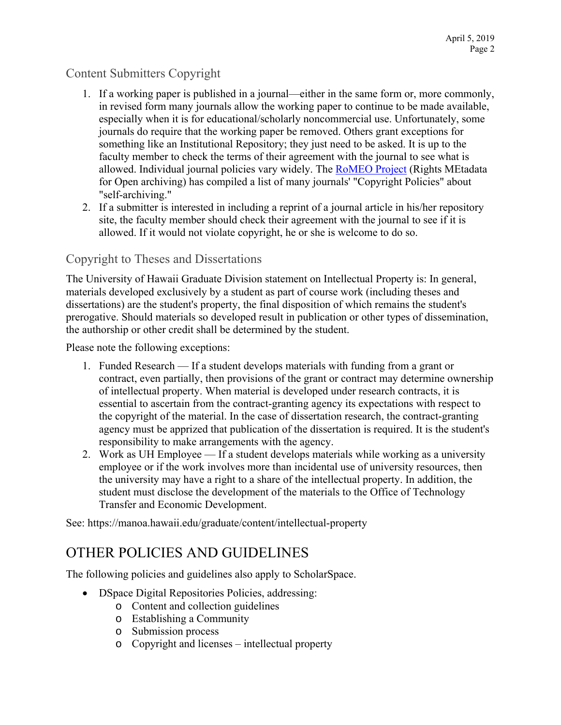#### Content Submitters Copyright

- 1. If a working paper is published in a journal—either in the same form or, more commonly, in revised form many journals allow the working paper to continue to be made available, especially when it is for educational/scholarly noncommercial use. Unfortunately, some journals do require that the working paper be removed. Others grant exceptions for something like an Institutional Repository; they just need to be asked. It is up to the faculty member to check the terms of their agreement with the journal to see what is allowed. Individual journal policies vary widely. The RoMEO Project (Rights MEtadata for Open archiving) has compiled a list of many journals' "Copyright Policies" about "self-archiving."
- 2. If a submitter is interested in including a reprint of a journal article in his/her repository site, the faculty member should check their agreement with the journal to see if it is allowed. If it would not violate copyright, he or she is welcome to do so.

#### Copyright to Theses and Dissertations

The University of Hawaii Graduate Division statement on Intellectual Property is: In general, materials developed exclusively by a student as part of course work (including theses and dissertations) are the student's property, the final disposition of which remains the student's prerogative. Should materials so developed result in publication or other types of dissemination, the authorship or other credit shall be determined by the student.

Please note the following exceptions:

- 1. Funded Research If a student develops materials with funding from a grant or contract, even partially, then provisions of the grant or contract may determine ownership of intellectual property. When material is developed under research contracts, it is essential to ascertain from the contract-granting agency its expectations with respect to the copyright of the material. In the case of dissertation research, the contract-granting agency must be apprized that publication of the dissertation is required. It is the student's responsibility to make arrangements with the agency.
- 2. Work as UH Employee If a student develops materials while working as a university employee or if the work involves more than incidental use of university resources, then the university may have a right to a share of the intellectual property. In addition, the student must disclose the development of the materials to the Office of Technology Transfer and Economic Development.

See: https://manoa.hawaii.edu/graduate/content/intellectual-property

### OTHER POLICIES AND GUIDELINES

The following policies and guidelines also apply to ScholarSpace.

- DSpace Digital Repositories Policies, addressing:
	- o Content and collection guidelines
	- o Establishing a Community
	- o Submission process
	- o Copyright and licenses intellectual property